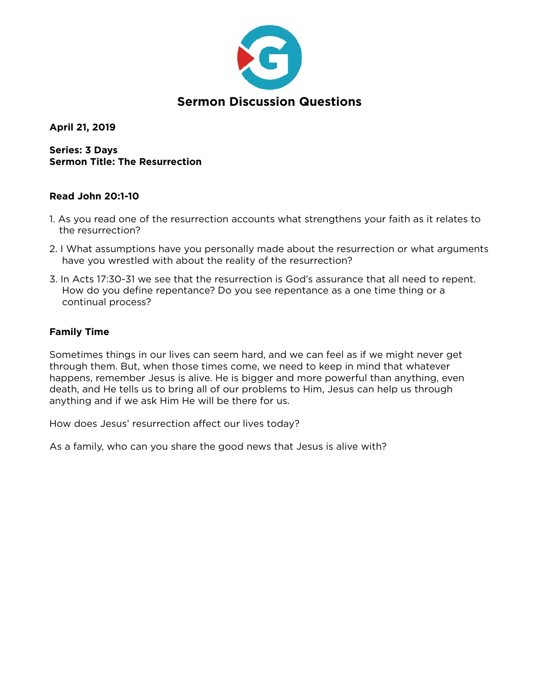

**April 21, 2019** 

**Series: 3 Days Sermon Title: The Resurrection** 

# **Read John 20:1-10**

- 1. As you read one of the resurrection accounts what strengthens your faith as it relates to the resurrection?
- 2. I What assumptions have you personally made about the resurrection or what arguments have you wrestled with about the reality of the resurrection?
- 3. In Acts 17:30-31 we see that the resurrection is God's assurance that all need to repent. How do you define repentance? Do you see repentance as a one time thing or a continual process?

### **Family Time**

Sometimes things in our lives can seem hard, and we can feel as if we might never get through them. But, when those times come, we need to keep in mind that whatever happens, remember Jesus is alive. He is bigger and more powerful than anything, even death, and He tells us to bring all of our problems to Him, Jesus can help us through anything and if we ask Him He will be there for us.

How does Jesus' resurrection affect our lives today?

As a family, who can you share the good news that Jesus is alive with?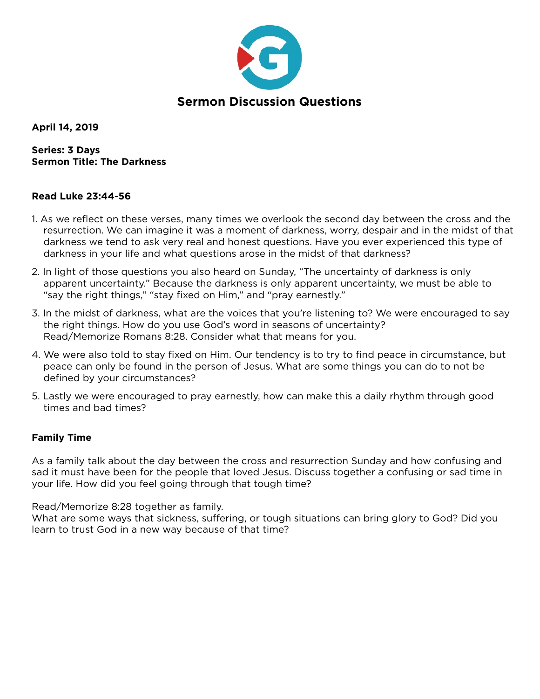

**April 14, 2019** 

**Series: 3 Days Sermon Title: The Darkness** 

### **Read Luke 23:44-56**

- 1. As we reflect on these verses, many times we overlook the second day between the cross and the resurrection. We can imagine it was a moment of darkness, worry, despair and in the midst of that darkness we tend to ask very real and honest questions. Have you ever experienced this type of darkness in your life and what questions arose in the midst of that darkness?
- 2. In light of those questions you also heard on Sunday, "The uncertainty of darkness is only apparent uncertainty." Because the darkness is only apparent uncertainty, we must be able to "say the right things," "stay fixed on Him," and "pray earnestly."
- 3. In the midst of darkness, what are the voices that you're listening to? We were encouraged to say the right things. How do you use God's word in seasons of uncertainty? Read/Memorize Romans 8:28. Consider what that means for you.
- 4. We were also told to stay fixed on Him. Our tendency is to try to find peace in circumstance, but peace can only be found in the person of Jesus. What are some things you can do to not be defined by your circumstances?
- 5. Lastly we were encouraged to pray earnestly, how can make this a daily rhythm through good times and bad times?

#### **Family Time**

As a family talk about the day between the cross and resurrection Sunday and how confusing and sad it must have been for the people that loved Jesus. Discuss together a confusing or sad time in your life. How did you feel going through that tough time?

Read/Memorize 8:28 together as family.

What are some ways that sickness, suffering, or tough situations can bring glory to God? Did you learn to trust God in a new way because of that time?